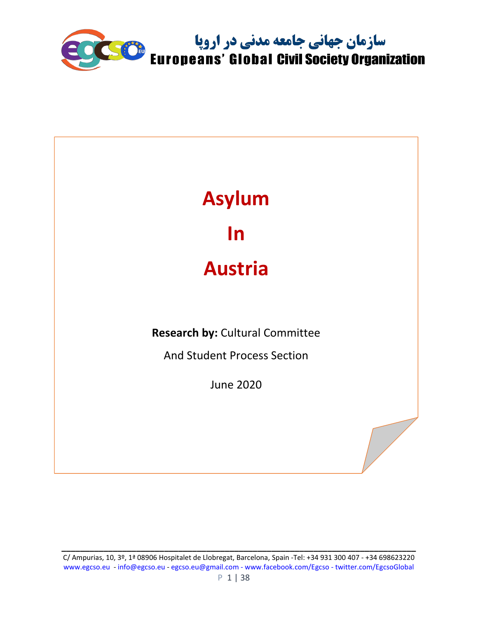

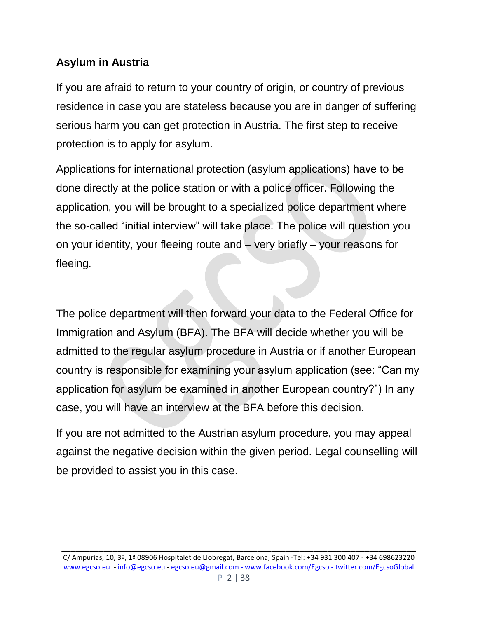### **Asylum in Austria**

If you are afraid to return to your country of origin, or country of previous residence in case you are stateless because you are in danger of suffering serious harm you can get protection in Austria. The first step to receive protection is to apply for asylum.

Applications for international protection (asylum applications) have to be done directly at the police station or with a police officer. Following the application, you will be brought to a specialized police department where the so-called "initial interview" will take place. The police will question you on your identity, your fleeing route and – very briefly – your reasons for fleeing.

The police department will then forward your data to the Federal Office for Immigration and Asylum (BFA). The BFA will decide whether you will be admitted to the regular asylum procedure in Austria or if another European country is responsible for examining your asylum application (see: "Can my application for asylum be examined in another European country?") In any case, you will have an interview at the BFA before this decision.

If you are not admitted to the Austrian asylum procedure, you may appeal against the negative decision within the given period. Legal counselling will be provided to assist you in this case.

C/ Ampurias, 10, 3º, 1ª 08906 Hospitalet de Llobregat, Barcelona, Spain -Tel: +34 931 300 407 - +34 698623220 [www.egcso.eu](http://www.egcso.eu/) - [info@egcso.eu](mailto:info@egcso.eu) - [egcso.eu@gmail.com -](mailto:egcso.eu@gmail.com%20-) [www.facebook.com/Egcso -](http://www.facebook.com/Egcso%20-%20twitter.com/EgcsoGlobal) twitter.com/EgcsoGlobal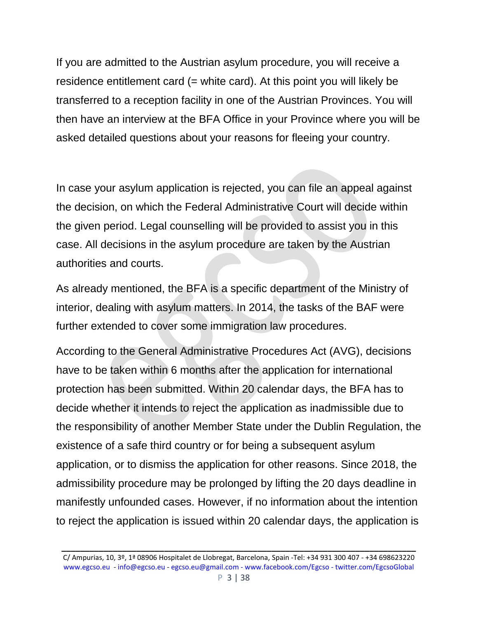If you are admitted to the Austrian asylum procedure, you will receive a residence entitlement card (= white card). At this point you will likely be transferred to a reception facility in one of the Austrian Provinces. You will then have an interview at the BFA Office in your Province where you will be asked detailed questions about your reasons for fleeing your country.

In case your asylum application is rejected, you can file an appeal against the decision, on which the Federal Administrative Court will decide within the given period. Legal counselling will be provided to assist you in this case. All decisions in the asylum procedure are taken by the Austrian authorities and courts.

As already mentioned, the BFA is a specific department of the Ministry of interior, dealing with asylum matters. In 2014, the tasks of the BAF were further extended to cover some immigration law procedures.

According to the General Administrative Procedures Act (AVG), decisions have to be taken within 6 months after the application for international protection has been submitted. Within 20 calendar days, the BFA has to decide whether it intends to reject the application as inadmissible due to the responsibility of another Member State under the Dublin Regulation, the existence of a safe third country or for being a subsequent asylum application, or to dismiss the application for other reasons. Since 2018, the admissibility procedure may be prolonged by lifting the 20 days deadline in manifestly unfounded cases. However, if no information about the intention to reject the application is issued within 20 calendar days, the application is

C/ Ampurias, 10, 3º, 1ª 08906 Hospitalet de Llobregat, Barcelona, Spain -Tel: +34 931 300 407 - +34 698623220 [www.egcso.eu](http://www.egcso.eu/) - [info@egcso.eu](mailto:info@egcso.eu) - [egcso.eu@gmail.com -](mailto:egcso.eu@gmail.com%20-) [www.facebook.com/Egcso -](http://www.facebook.com/Egcso%20-%20twitter.com/EgcsoGlobal) twitter.com/EgcsoGlobal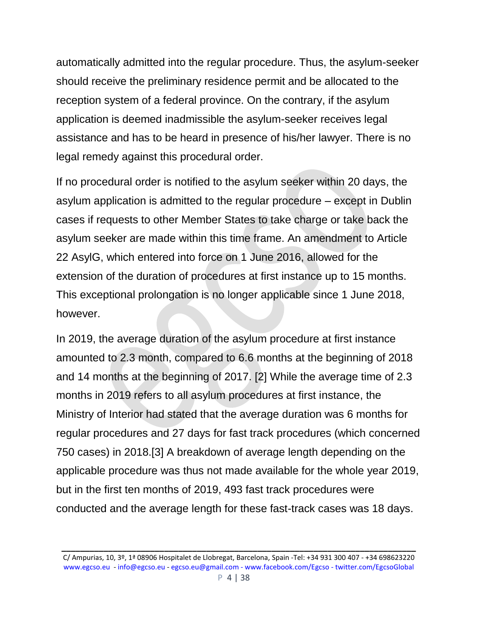automatically admitted into the regular procedure. Thus, the asylum-seeker should receive the preliminary residence permit and be allocated to the reception system of a federal province. On the contrary, if the asylum application is deemed inadmissible the asylum-seeker receives legal assistance and has to be heard in presence of his/her lawyer. There is no legal remedy against this procedural order.

If no procedural order is notified to the asylum seeker within 20 days, the asylum application is admitted to the regular procedure – except in Dublin cases if requests to other Member States to take charge or take back the asylum seeker are made within this time frame. An amendment to Article 22 AsylG, which entered into force on 1 June 2016, allowed for the extension of the duration of procedures at first instance up to 15 months. This exceptional prolongation is no longer applicable since 1 June 2018, however.

In 2019, the average duration of the asylum procedure at first instance amounted to 2.3 month, compared to 6.6 months at the beginning of 2018 and 14 months at the beginning of 2017. [2] While the average time of 2.3 months in 2019 refers to all asylum procedures at first instance, the Ministry of Interior had stated that the average duration was 6 months for regular procedures and 27 days for fast track procedures (which concerned 750 cases) in 2018.[3] A breakdown of average length depending on the applicable procedure was thus not made available for the whole year 2019, but in the first ten months of 2019, 493 fast track procedures were conducted and the average length for these fast-track cases was 18 days.

C/ Ampurias, 10, 3º, 1ª 08906 Hospitalet de Llobregat, Barcelona, Spain -Tel: +34 931 300 407 - +34 698623220 [www.egcso.eu](http://www.egcso.eu/) - [info@egcso.eu](mailto:info@egcso.eu) - [egcso.eu@gmail.com -](mailto:egcso.eu@gmail.com%20-) [www.facebook.com/Egcso -](http://www.facebook.com/Egcso%20-%20twitter.com/EgcsoGlobal) twitter.com/EgcsoGlobal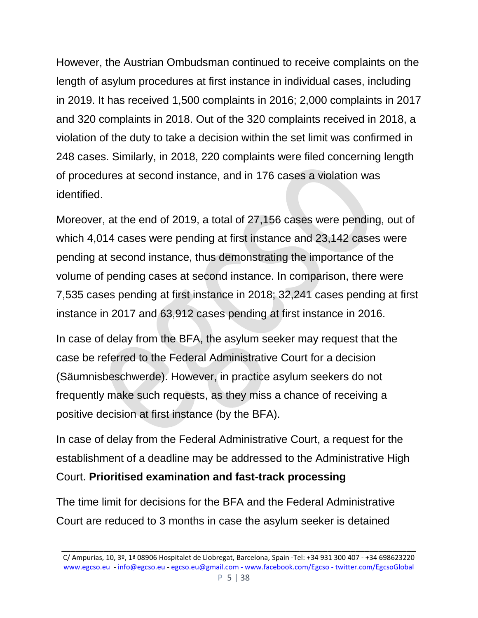However, the Austrian Ombudsman continued to receive complaints on the length of asylum procedures at first instance in individual cases, including in 2019. It has received 1,500 complaints in 2016; 2,000 complaints in 2017 and 320 complaints in 2018. Out of the 320 complaints received in 2018, a violation of the duty to take a decision within the set limit was confirmed in 248 cases. Similarly, in 2018, 220 complaints were filed concerning length of procedures at second instance, and in 176 cases a violation was identified.

Moreover, at the end of 2019, a total of 27,156 cases were pending, out of which 4,014 cases were pending at first instance and 23,142 cases were pending at second instance, thus demonstrating the importance of the volume of pending cases at second instance. In comparison, there were 7,535 cases pending at first instance in 2018; 32,241 cases pending at first instance in 2017 and 63,912 cases pending at first instance in 2016.

In case of delay from the BFA, the asylum seeker may request that the case be referred to the Federal Administrative Court for a decision (Säumnisbeschwerde). However, in practice asylum seekers do not frequently make such requests, as they miss a chance of receiving a positive decision at first instance (by the BFA).

In case of delay from the Federal Administrative Court, a request for the establishment of a deadline may be addressed to the Administrative High Court. **Prioritised examination and fast-track processing**

The time limit for decisions for the BFA and the Federal Administrative Court are reduced to 3 months in case the asylum seeker is detained

C/ Ampurias, 10, 3º, 1ª 08906 Hospitalet de Llobregat, Barcelona, Spain -Tel: +34 931 300 407 - +34 698623220 [www.egcso.eu](http://www.egcso.eu/) - [info@egcso.eu](mailto:info@egcso.eu) - [egcso.eu@gmail.com -](mailto:egcso.eu@gmail.com%20-) [www.facebook.com/Egcso -](http://www.facebook.com/Egcso%20-%20twitter.com/EgcsoGlobal) twitter.com/EgcsoGlobal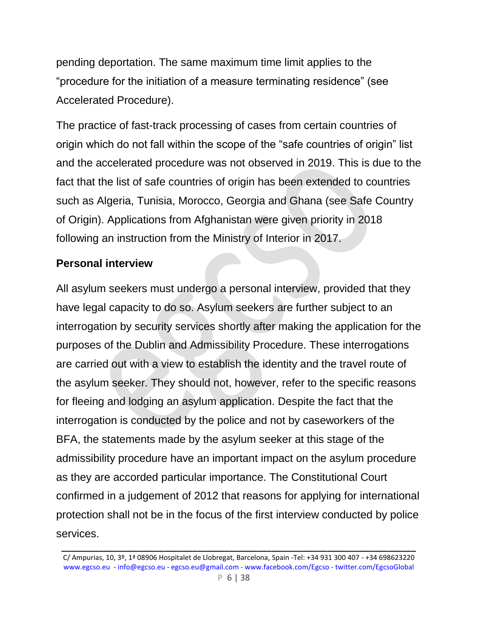pending deportation. The same maximum time limit applies to the "procedure for the initiation of a measure terminating residence" (see Accelerated Procedure).

The practice of fast-track processing of cases from certain countries of origin which do not fall within the scope of the "safe countries of origin" list and the accelerated procedure was not observed in 2019. This is due to the fact that the list of safe countries of origin has been extended to countries such as Algeria, Tunisia, Morocco, Georgia and Ghana (see Safe Country of Origin). Applications from Afghanistan were given priority in 2018 following an instruction from the Ministry of Interior in 2017.

### **Personal interview**

All asylum seekers must undergo a personal interview, provided that they have legal capacity to do so. Asylum seekers are further subject to an interrogation by security services shortly after making the application for the purposes of the Dublin and Admissibility Procedure. These interrogations are carried out with a view to establish the identity and the travel route of the asylum seeker. They should not, however, refer to the specific reasons for fleeing and lodging an asylum application. Despite the fact that the interrogation is conducted by the police and not by caseworkers of the BFA, the statements made by the asylum seeker at this stage of the admissibility procedure have an important impact on the asylum procedure as they are accorded particular importance. The Constitutional Court confirmed in a judgement of 2012 that reasons for applying for international protection shall not be in the focus of the first interview conducted by police services.

C/ Ampurias, 10, 3º, 1ª 08906 Hospitalet de Llobregat, Barcelona, Spain -Tel: +34 931 300 407 - +34 698623220 [www.egcso.eu](http://www.egcso.eu/) - [info@egcso.eu](mailto:info@egcso.eu) - [egcso.eu@gmail.com -](mailto:egcso.eu@gmail.com%20-) [www.facebook.com/Egcso -](http://www.facebook.com/Egcso%20-%20twitter.com/EgcsoGlobal) twitter.com/EgcsoGlobal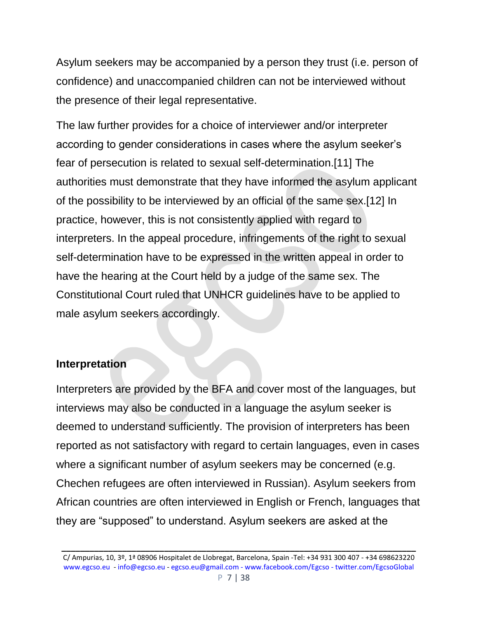Asylum seekers may be accompanied by a person they trust (i.e. person of confidence) and unaccompanied children can not be interviewed without the presence of their legal representative.

The law further provides for a choice of interviewer and/or interpreter according to gender considerations in cases where the asylum seeker's fear of persecution is related to sexual self-determination.[11] The authorities must demonstrate that they have informed the asylum applicant of the possibility to be interviewed by an official of the same sex.[12] In practice, however, this is not consistently applied with regard to interpreters. In the appeal procedure, infringements of the right to sexual self-determination have to be expressed in the written appeal in order to have the hearing at the Court held by a judge of the same sex. The Constitutional Court ruled that UNHCR guidelines have to be applied to male asylum seekers accordingly.

### **Interpretation**

Interpreters are provided by the BFA and cover most of the languages, but interviews may also be conducted in a language the asylum seeker is deemed to understand sufficiently. The provision of interpreters has been reported as not satisfactory with regard to certain languages, even in cases where a significant number of asylum seekers may be concerned (e.g. Chechen refugees are often interviewed in Russian). Asylum seekers from African countries are often interviewed in English or French, languages that they are "supposed" to understand. Asylum seekers are asked at the

C/ Ampurias, 10, 3º, 1ª 08906 Hospitalet de Llobregat, Barcelona, Spain -Tel: +34 931 300 407 - +34 698623220 [www.egcso.eu](http://www.egcso.eu/) - [info@egcso.eu](mailto:info@egcso.eu) - [egcso.eu@gmail.com -](mailto:egcso.eu@gmail.com%20-) [www.facebook.com/Egcso -](http://www.facebook.com/Egcso%20-%20twitter.com/EgcsoGlobal) twitter.com/EgcsoGlobal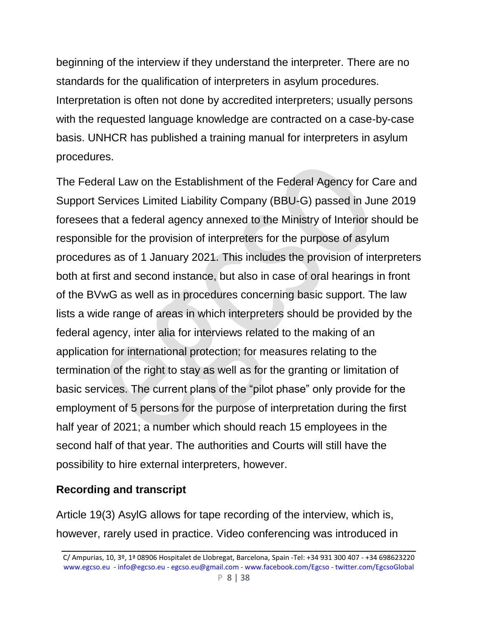beginning of the interview if they understand the interpreter. There are no standards for the qualification of interpreters in asylum procedures. Interpretation is often not done by accredited interpreters; usually persons with the requested language knowledge are contracted on a case-by-case basis. UNHCR has published a training manual for interpreters in asylum procedures.

The Federal Law on the Establishment of the Federal Agency for Care and Support Services Limited Liability Company (BBU-G) passed in June 2019 foresees that a federal agency annexed to the Ministry of Interior should be responsible for the provision of interpreters for the purpose of asylum procedures as of 1 January 2021. This includes the provision of interpreters both at first and second instance, but also in case of oral hearings in front of the BVwG as well as in procedures concerning basic support. The law lists a wide range of areas in which interpreters should be provided by the federal agency, inter alia for interviews related to the making of an application for international protection; for measures relating to the termination of the right to stay as well as for the granting or limitation of basic services. The current plans of the "pilot phase" only provide for the employment of 5 persons for the purpose of interpretation during the first half year of 2021; a number which should reach 15 employees in the second half of that year. The authorities and Courts will still have the possibility to hire external interpreters, however.

### **Recording and transcript**

Article 19(3) AsylG allows for tape recording of the interview, which is, however, rarely used in practice. Video conferencing was introduced in

C/ Ampurias, 10, 3º, 1ª 08906 Hospitalet de Llobregat, Barcelona, Spain -Tel: +34 931 300 407 - +34 698623220 [www.egcso.eu](http://www.egcso.eu/) - [info@egcso.eu](mailto:info@egcso.eu) - [egcso.eu@gmail.com -](mailto:egcso.eu@gmail.com%20-) [www.facebook.com/Egcso -](http://www.facebook.com/Egcso%20-%20twitter.com/EgcsoGlobal) twitter.com/EgcsoGlobal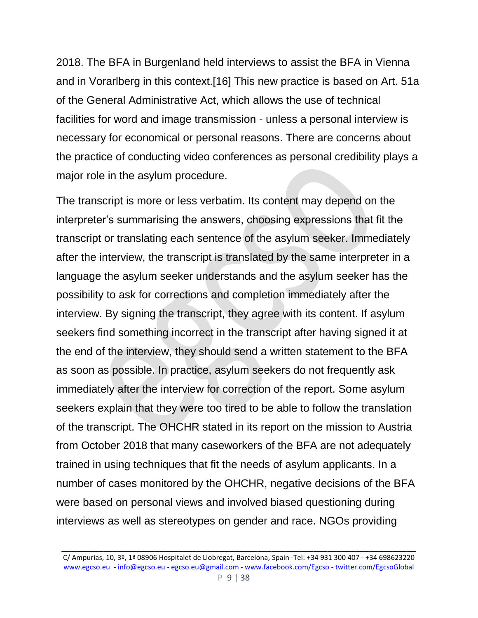2018. The BFA in Burgenland held interviews to assist the BFA in Vienna and in Vorarlberg in this context.[16] This new practice is based on Art. 51a of the General Administrative Act, which allows the use of technical facilities for word and image transmission - unless a personal interview is necessary for economical or personal reasons. There are concerns about the practice of conducting video conferences as personal credibility plays a major role in the asylum procedure.

The transcript is more or less verbatim. Its content may depend on the interpreter's summarising the answers, choosing expressions that fit the transcript or translating each sentence of the asylum seeker. Immediately after the interview, the transcript is translated by the same interpreter in a language the asylum seeker understands and the asylum seeker has the possibility to ask for corrections and completion immediately after the interview. By signing the transcript, they agree with its content. If asylum seekers find something incorrect in the transcript after having signed it at the end of the interview, they should send a written statement to the BFA as soon as possible. In practice, asylum seekers do not frequently ask immediately after the interview for correction of the report. Some asylum seekers explain that they were too tired to be able to follow the translation of the transcript. The OHCHR stated in its report on the mission to Austria from October 2018 that many caseworkers of the BFA are not adequately trained in using techniques that fit the needs of asylum applicants. In a number of cases monitored by the OHCHR, negative decisions of the BFA were based on personal views and involved biased questioning during interviews as well as stereotypes on gender and race. NGOs providing

C/ Ampurias, 10, 3º, 1ª 08906 Hospitalet de Llobregat, Barcelona, Spain -Tel: +34 931 300 407 - +34 698623220 [www.egcso.eu](http://www.egcso.eu/) - [info@egcso.eu](mailto:info@egcso.eu) - [egcso.eu@gmail.com -](mailto:egcso.eu@gmail.com%20-) [www.facebook.com/Egcso -](http://www.facebook.com/Egcso%20-%20twitter.com/EgcsoGlobal) twitter.com/EgcsoGlobal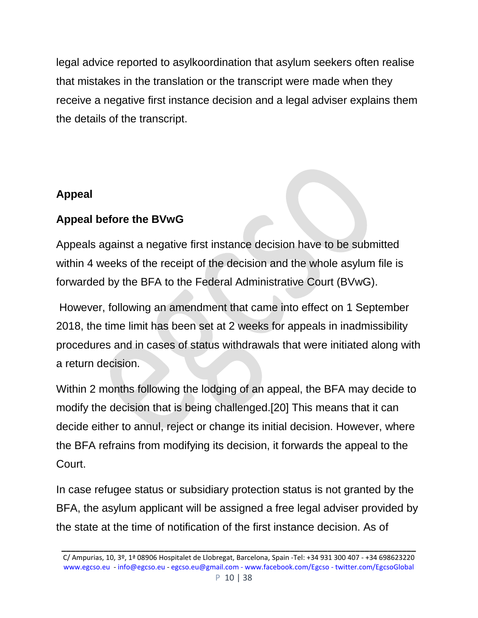legal advice reported to asylkoordination that asylum seekers often realise that mistakes in the translation or the transcript were made when they receive a negative first instance decision and a legal adviser explains them the details of the transcript.

## **Appeal**

## **Appeal before the BVwG**

Appeals against a negative first instance decision have to be submitted within 4 weeks of the receipt of the decision and the whole asylum file is forwarded by the BFA to the Federal Administrative Court (BVwG).

However, following an amendment that came into effect on 1 September 2018, the time limit has been set at 2 weeks for appeals in inadmissibility procedures and in cases of status withdrawals that were initiated along with a return decision.

Within 2 months following the lodging of an appeal, the BFA may decide to modify the decision that is being challenged.[20] This means that it can decide either to annul, reject or change its initial decision. However, where the BFA refrains from modifying its decision, it forwards the appeal to the Court.

In case refugee status or subsidiary protection status is not granted by the BFA, the asylum applicant will be assigned a free legal adviser provided by the state at the time of notification of the first instance decision. As of

C/ Ampurias, 10, 3º, 1ª 08906 Hospitalet de Llobregat, Barcelona, Spain -Tel: +34 931 300 407 - +34 698623220 [www.egcso.eu](http://www.egcso.eu/) - [info@egcso.eu](mailto:info@egcso.eu) - [egcso.eu@gmail.com -](mailto:egcso.eu@gmail.com%20-) [www.facebook.com/Egcso -](http://www.facebook.com/Egcso%20-%20twitter.com/EgcsoGlobal) twitter.com/EgcsoGlobal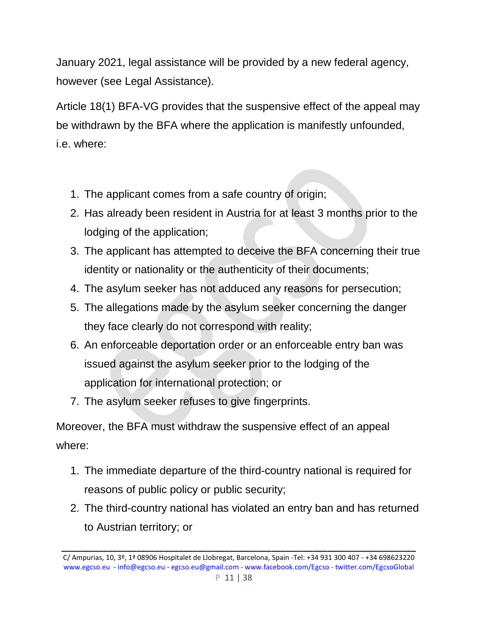January 2021, legal assistance will be provided by a new federal agency, however (see Legal Assistance).

Article 18(1) BFA-VG provides that the suspensive effect of the appeal may be withdrawn by the BFA where the application is manifestly unfounded, i.e. where:

- 1. The applicant comes from a safe country of origin;
- 2. Has already been resident in Austria for at least 3 months prior to the lodging of the application;
- 3. The applicant has attempted to deceive the BFA concerning their true identity or nationality or the authenticity of their documents;
- 4. The asylum seeker has not adduced any reasons for persecution;
- 5. The allegations made by the asylum seeker concerning the danger they face clearly do not correspond with reality;
- 6. An enforceable deportation order or an enforceable entry ban was issued against the asylum seeker prior to the lodging of the application for international protection; or
- 7. The asylum seeker refuses to give fingerprints.

Moreover, the BFA must withdraw the suspensive effect of an appeal where:

- 1. The immediate departure of the third-country national is required for reasons of public policy or public security;
- 2. The third-country national has violated an entry ban and has returned to Austrian territory; or

C/ Ampurias, 10, 3º, 1ª 08906 Hospitalet de Llobregat, Barcelona, Spain -Tel: +34 931 300 407 - +34 698623220 [www.egcso.eu](http://www.egcso.eu/) - [info@egcso.eu](mailto:info@egcso.eu) - [egcso.eu@gmail.com -](mailto:egcso.eu@gmail.com%20-) [www.facebook.com/Egcso -](http://www.facebook.com/Egcso%20-%20twitter.com/EgcsoGlobal) twitter.com/EgcsoGlobal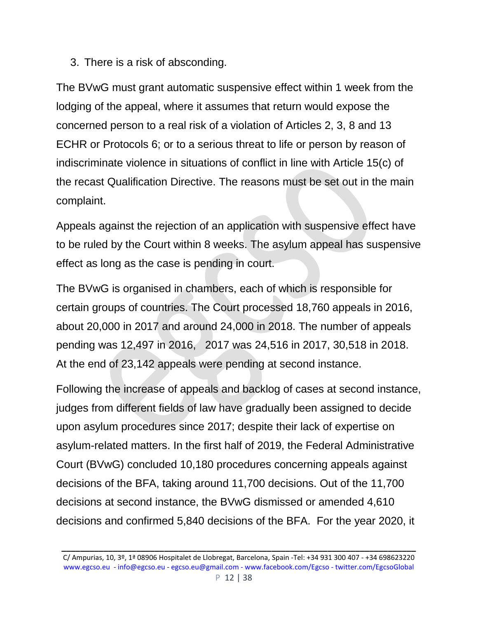3. There is a risk of absconding.

The BVwG must grant automatic suspensive effect within 1 week from the lodging of the appeal, where it assumes that return would expose the concerned person to a real risk of a violation of Articles 2, 3, 8 and 13 ECHR or Protocols 6; or to a serious threat to life or person by reason of indiscriminate violence in situations of conflict in line with Article 15(c) of the recast Qualification Directive. The reasons must be set out in the main complaint.

Appeals against the rejection of an application with suspensive effect have to be ruled by the Court within 8 weeks. The asylum appeal has suspensive effect as long as the case is pending in court.

The BVwG is organised in chambers, each of which is responsible for certain groups of countries. The Court processed 18,760 appeals in 2016, about 20,000 in 2017 and around 24,000 in 2018. The number of appeals pending was 12,497 in 2016, 2017 was 24,516 in 2017, 30,518 in 2018. At the end of 23,142 appeals were pending at second instance.

Following the increase of appeals and backlog of cases at second instance, judges from different fields of law have gradually been assigned to decide upon asylum procedures since 2017; despite their lack of expertise on asylum-related matters. In the first half of 2019, the Federal Administrative Court (BVwG) concluded 10,180 procedures concerning appeals against decisions of the BFA, taking around 11,700 decisions. Out of the 11,700 decisions at second instance, the BVwG dismissed or amended 4,610 decisions and confirmed 5,840 decisions of the BFA. For the year 2020, it

C/ Ampurias, 10, 3º, 1ª 08906 Hospitalet de Llobregat, Barcelona, Spain -Tel: +34 931 300 407 - +34 698623220 [www.egcso.eu](http://www.egcso.eu/) - [info@egcso.eu](mailto:info@egcso.eu) - [egcso.eu@gmail.com -](mailto:egcso.eu@gmail.com%20-) [www.facebook.com/Egcso -](http://www.facebook.com/Egcso%20-%20twitter.com/EgcsoGlobal) twitter.com/EgcsoGlobal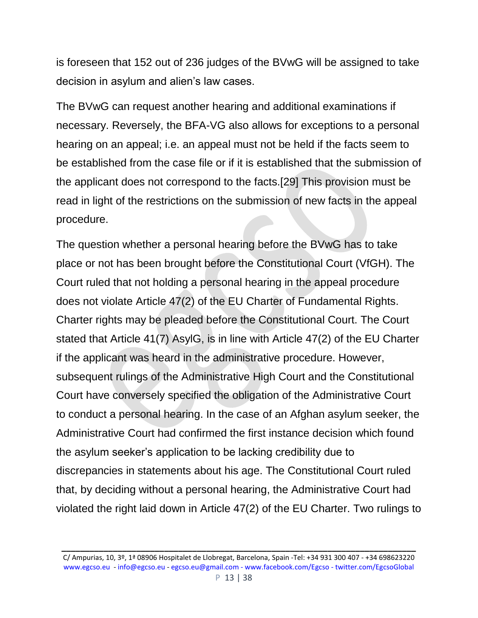is foreseen that 152 out of 236 judges of the BVwG will be assigned to take decision in asylum and alien's law cases.

The BVwG can request another hearing and additional examinations if necessary. Reversely, the BFA-VG also allows for exceptions to a personal hearing on an appeal; i.e. an appeal must not be held if the facts seem to be established from the case file or if it is established that the submission of the applicant does not correspond to the facts.[29] This provision must be read in light of the restrictions on the submission of new facts in the appeal procedure.

The question whether a personal hearing before the BVwG has to take place or not has been brought before the Constitutional Court (VfGH). The Court ruled that not holding a personal hearing in the appeal procedure does not violate Article 47(2) of the EU Charter of Fundamental Rights. Charter rights may be pleaded before the Constitutional Court. The Court stated that Article 41(7) AsylG, is in line with Article 47(2) of the EU Charter if the applicant was heard in the administrative procedure. However, subsequent rulings of the Administrative High Court and the Constitutional Court have conversely specified the obligation of the Administrative Court to conduct a personal hearing. In the case of an Afghan asylum seeker, the Administrative Court had confirmed the first instance decision which found the asylum seeker's application to be lacking credibility due to discrepancies in statements about his age. The Constitutional Court ruled that, by deciding without a personal hearing, the Administrative Court had violated the right laid down in Article 47(2) of the EU Charter. Two rulings to

C/ Ampurias, 10, 3º, 1ª 08906 Hospitalet de Llobregat, Barcelona, Spain -Tel: +34 931 300 407 - +34 698623220 [www.egcso.eu](http://www.egcso.eu/) - [info@egcso.eu](mailto:info@egcso.eu) - [egcso.eu@gmail.com -](mailto:egcso.eu@gmail.com%20-) [www.facebook.com/Egcso -](http://www.facebook.com/Egcso%20-%20twitter.com/EgcsoGlobal) twitter.com/EgcsoGlobal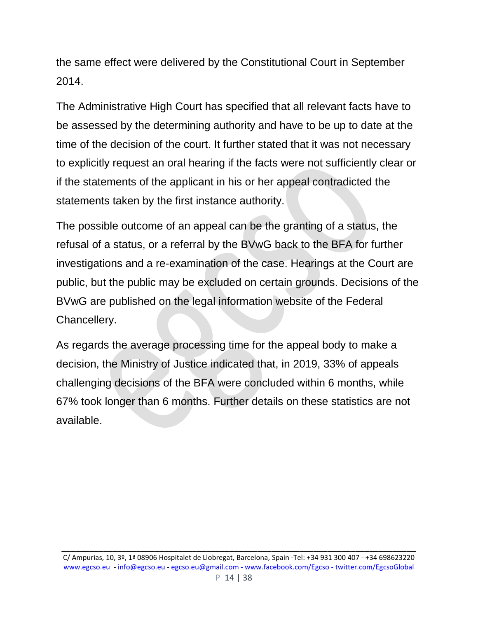the same effect were delivered by the Constitutional Court in September 2014.

The Administrative High Court has specified that all relevant facts have to be assessed by the determining authority and have to be up to date at the time of the decision of the court. It further stated that it was not necessary to explicitly request an oral hearing if the facts were not sufficiently clear or if the statements of the applicant in his or her appeal contradicted the statements taken by the first instance authority.

The possible outcome of an appeal can be the granting of a status, the refusal of a status, or a referral by the BVwG back to the BFA for further investigations and a re-examination of the case. Hearings at the Court are public, but the public may be excluded on certain grounds. Decisions of the BVwG are published on the legal information website of the Federal Chancellery.

As regards the average processing time for the appeal body to make a decision, the Ministry of Justice indicated that, in 2019, 33% of appeals challenging decisions of the BFA were concluded within 6 months, while 67% took longer than 6 months. Further details on these statistics are not available.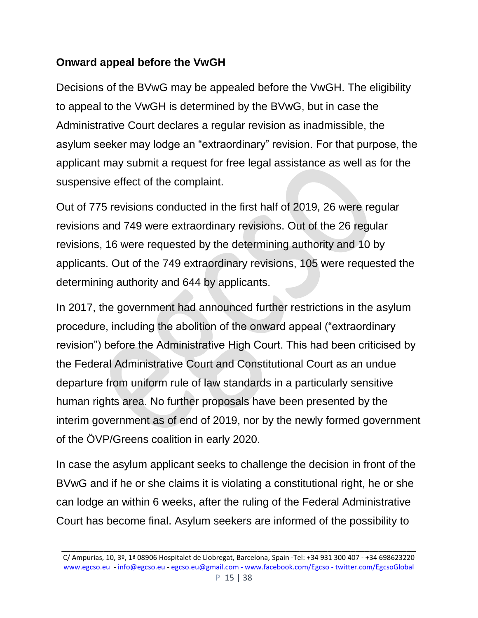### **Onward appeal before the VwGH**

Decisions of the BVwG may be appealed before the VwGH. The eligibility to appeal to the VwGH is determined by the BVwG, but in case the Administrative Court declares a regular revision as inadmissible, the asylum seeker may lodge an "extraordinary" revision. For that purpose, the applicant may submit a request for free legal assistance as well as for the suspensive effect of the complaint.

Out of 775 revisions conducted in the first half of 2019, 26 were regular revisions and 749 were extraordinary revisions. Out of the 26 regular revisions, 16 were requested by the determining authority and 10 by applicants. Out of the 749 extraordinary revisions, 105 were requested the determining authority and 644 by applicants.

In 2017, the government had announced further restrictions in the asylum procedure, including the abolition of the onward appeal ("extraordinary revision") before the Administrative High Court. This had been criticised by the Federal Administrative Court and Constitutional Court as an undue departure from uniform rule of law standards in a particularly sensitive human rights area. No further proposals have been presented by the interim government as of end of 2019, nor by the newly formed government of the ÖVP/Greens coalition in early 2020.

In case the asylum applicant seeks to challenge the decision in front of the BVwG and if he or she claims it is violating a constitutional right, he or she can lodge an within 6 weeks, after the ruling of the Federal Administrative Court has become final. Asylum seekers are informed of the possibility to

C/ Ampurias, 10, 3º, 1ª 08906 Hospitalet de Llobregat, Barcelona, Spain -Tel: +34 931 300 407 - +34 698623220 [www.egcso.eu](http://www.egcso.eu/) - [info@egcso.eu](mailto:info@egcso.eu) - [egcso.eu@gmail.com -](mailto:egcso.eu@gmail.com%20-) [www.facebook.com/Egcso -](http://www.facebook.com/Egcso%20-%20twitter.com/EgcsoGlobal) twitter.com/EgcsoGlobal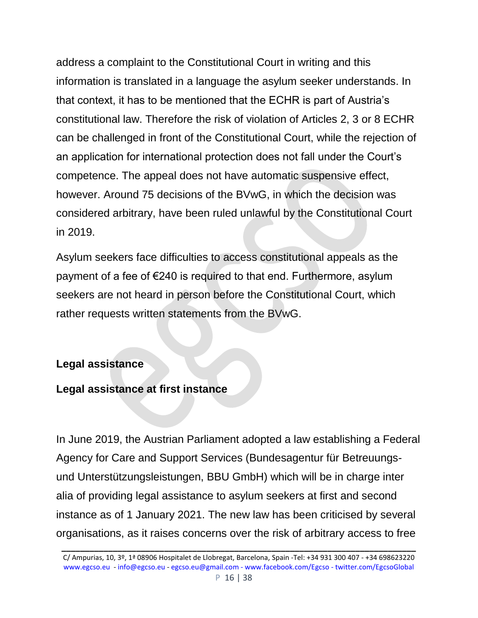address a complaint to the Constitutional Court in writing and this information is translated in a language the asylum seeker understands. In that context, it has to be mentioned that the ECHR is part of Austria's constitutional law. Therefore the risk of violation of Articles 2, 3 or 8 ECHR can be challenged in front of the Constitutional Court, while the rejection of an application for international protection does not fall under the Court's competence. The appeal does not have automatic suspensive effect, however. Around 75 decisions of the BVwG, in which the decision was considered arbitrary, have been ruled unlawful by the Constitutional Court in 2019.

Asylum seekers face difficulties to access constitutional appeals as the payment of a fee of €240 is required to that end. Furthermore, asylum seekers are not heard in person before the Constitutional Court, which rather requests written statements from the BVwG.

#### **Legal assistance**

#### **Legal assistance at first instance**

In June 2019, the Austrian Parliament adopted a law establishing a Federal Agency for Care and Support Services (Bundesagentur für Betreuungsund Unterstützungsleistungen, BBU GmbH) which will be in charge inter alia of providing legal assistance to asylum seekers at first and second instance as of 1 January 2021. The new law has been criticised by several organisations, as it raises concerns over the risk of arbitrary access to free

C/ Ampurias, 10, 3º, 1ª 08906 Hospitalet de Llobregat, Barcelona, Spain -Tel: +34 931 300 407 - +34 698623220 [www.egcso.eu](http://www.egcso.eu/) - [info@egcso.eu](mailto:info@egcso.eu) - [egcso.eu@gmail.com -](mailto:egcso.eu@gmail.com%20-) [www.facebook.com/Egcso -](http://www.facebook.com/Egcso%20-%20twitter.com/EgcsoGlobal) twitter.com/EgcsoGlobal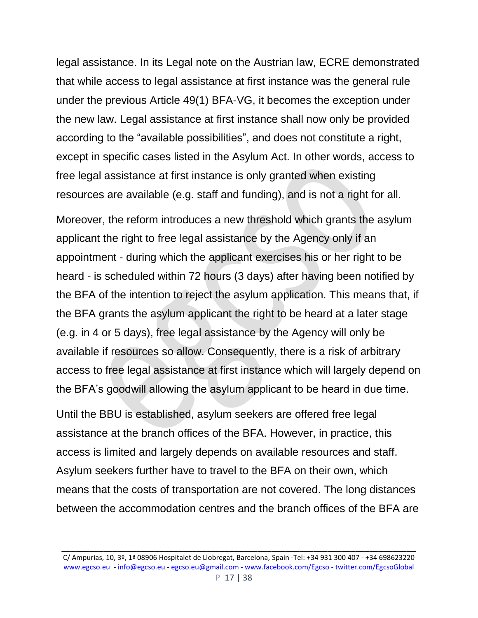legal assistance. In its Legal note on the Austrian law, ECRE demonstrated that while access to legal assistance at first instance was the general rule under the previous Article 49(1) BFA-VG, it becomes the exception under the new law. Legal assistance at first instance shall now only be provided according to the "available possibilities", and does not constitute a right, except in specific cases listed in the Asylum Act. In other words, access to free legal assistance at first instance is only granted when existing resources are available (e.g. staff and funding), and is not a right for all.

Moreover, the reform introduces a new threshold which grants the asylum applicant the right to free legal assistance by the Agency only if an appointment - during which the applicant exercises his or her right to be heard - is scheduled within 72 hours (3 days) after having been notified by the BFA of the intention to reject the asylum application. This means that, if the BFA grants the asylum applicant the right to be heard at a later stage (e.g. in 4 or 5 days), free legal assistance by the Agency will only be available if resources so allow. Consequently, there is a risk of arbitrary access to free legal assistance at first instance which will largely depend on the BFA's goodwill allowing the asylum applicant to be heard in due time.

Until the BBU is established, asylum seekers are offered free legal assistance at the branch offices of the BFA. However, in practice, this access is limited and largely depends on available resources and staff. Asylum seekers further have to travel to the BFA on their own, which means that the costs of transportation are not covered. The long distances between the accommodation centres and the branch offices of the BFA are

C/ Ampurias, 10, 3º, 1ª 08906 Hospitalet de Llobregat, Barcelona, Spain -Tel: +34 931 300 407 - +34 698623220 [www.egcso.eu](http://www.egcso.eu/) - [info@egcso.eu](mailto:info@egcso.eu) - [egcso.eu@gmail.com -](mailto:egcso.eu@gmail.com%20-) [www.facebook.com/Egcso -](http://www.facebook.com/Egcso%20-%20twitter.com/EgcsoGlobal) twitter.com/EgcsoGlobal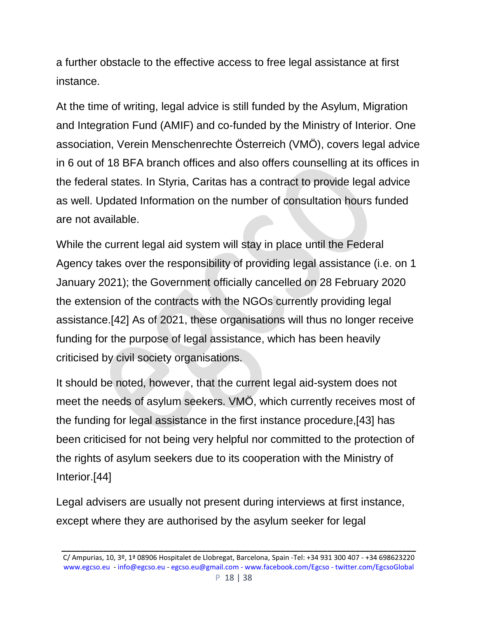a further obstacle to the effective access to free legal assistance at first instance.

At the time of writing, legal advice is still funded by the Asylum, Migration and Integration Fund (AMIF) and co-funded by the Ministry of Interior. One association, Verein Menschenrechte Österreich (VMÖ), covers legal advice in 6 out of 18 BFA branch offices and also offers counselling at its offices in the federal states. In Styria, Caritas has a contract to provide legal advice as well. Updated Information on the number of consultation hours funded are not available.

While the current legal aid system will stay in place until the Federal Agency takes over the responsibility of providing legal assistance (i.e. on 1 January 2021); the Government officially cancelled on 28 February 2020 the extension of the contracts with the NGOs currently providing legal assistance.[42] As of 2021, these organisations will thus no longer receive funding for the purpose of legal assistance, which has been heavily criticised by civil society organisations.

It should be noted, however, that the current legal aid-system does not meet the needs of asylum seekers. VMÖ, which currently receives most of the funding for legal assistance in the first instance procedure,[43] has been criticised for not being very helpful nor committed to the protection of the rights of asylum seekers due to its cooperation with the Ministry of Interior.[44]

Legal advisers are usually not present during interviews at first instance, except where they are authorised by the asylum seeker for legal

C/ Ampurias, 10, 3º, 1ª 08906 Hospitalet de Llobregat, Barcelona, Spain -Tel: +34 931 300 407 - +34 698623220 [www.egcso.eu](http://www.egcso.eu/) - [info@egcso.eu](mailto:info@egcso.eu) - [egcso.eu@gmail.com -](mailto:egcso.eu@gmail.com%20-) [www.facebook.com/Egcso -](http://www.facebook.com/Egcso%20-%20twitter.com/EgcsoGlobal) twitter.com/EgcsoGlobal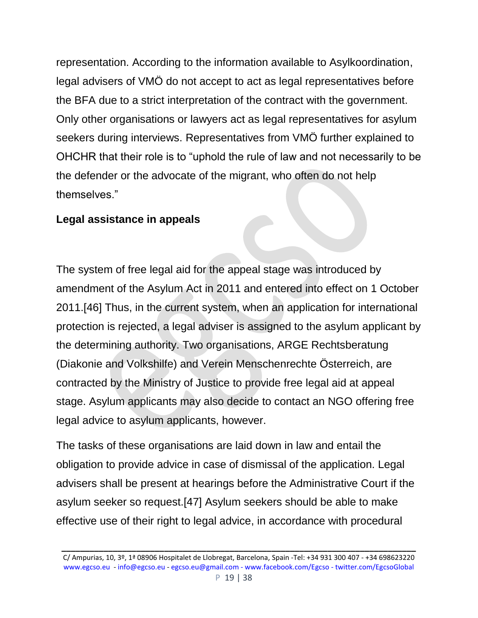representation. According to the information available to Asylkoordination, legal advisers of VMÖ do not accept to act as legal representatives before the BFA due to a strict interpretation of the contract with the government. Only other organisations or lawyers act as legal representatives for asylum seekers during interviews. Representatives from VMÖ further explained to OHCHR that their role is to "uphold the rule of law and not necessarily to be the defender or the advocate of the migrant, who often do not help themselves."

#### **Legal assistance in appeals**

The system of free legal aid for the appeal stage was introduced by amendment of the Asylum Act in 2011 and entered into effect on 1 October 2011.[46] Thus, in the current system, when an application for international protection is rejected, a legal adviser is assigned to the asylum applicant by the determining authority. Two organisations, ARGE Rechtsberatung (Diakonie and Volkshilfe) and Verein Menschenrechte Österreich, are contracted by the Ministry of Justice to provide free legal aid at appeal stage. Asylum applicants may also decide to contact an NGO offering free legal advice to asylum applicants, however.

The tasks of these organisations are laid down in law and entail the obligation to provide advice in case of dismissal of the application. Legal advisers shall be present at hearings before the Administrative Court if the asylum seeker so request.[47] Asylum seekers should be able to make effective use of their right to legal advice, in accordance with procedural

C/ Ampurias, 10, 3º, 1ª 08906 Hospitalet de Llobregat, Barcelona, Spain -Tel: +34 931 300 407 - +34 698623220 [www.egcso.eu](http://www.egcso.eu/) - [info@egcso.eu](mailto:info@egcso.eu) - [egcso.eu@gmail.com -](mailto:egcso.eu@gmail.com%20-) [www.facebook.com/Egcso -](http://www.facebook.com/Egcso%20-%20twitter.com/EgcsoGlobal) twitter.com/EgcsoGlobal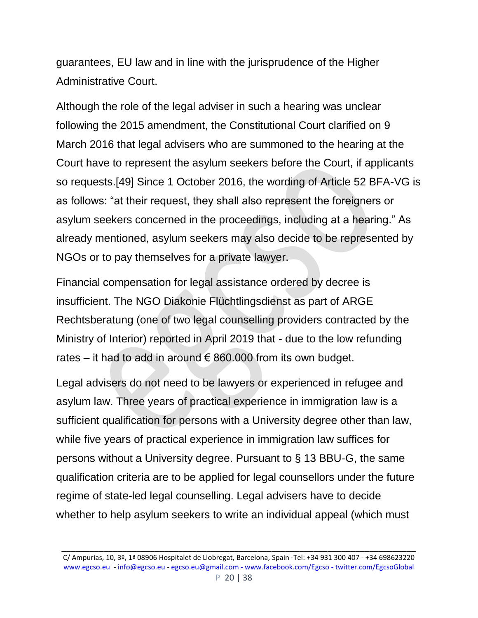guarantees, EU law and in line with the jurisprudence of the Higher Administrative Court.

Although the role of the legal adviser in such a hearing was unclear following the 2015 amendment, the Constitutional Court clarified on 9 March 2016 that legal advisers who are summoned to the hearing at the Court have to represent the asylum seekers before the Court, if applicants so requests.[49] Since 1 October 2016, the wording of Article 52 BFA-VG is as follows: "at their request, they shall also represent the foreigners or asylum seekers concerned in the proceedings, including at a hearing." As already mentioned, asylum seekers may also decide to be represented by NGOs or to pay themselves for a private lawyer.

Financial compensation for legal assistance ordered by decree is insufficient. The NGO Diakonie Flüchtlingsdienst as part of ARGE Rechtsberatung (one of two legal counselling providers contracted by the Ministry of Interior) reported in April 2019 that - due to the low refunding rates – it had to add in around  $\epsilon$  860.000 from its own budget.

Legal advisers do not need to be lawyers or experienced in refugee and asylum law. Three years of practical experience in immigration law is a sufficient qualification for persons with a University degree other than law, while five years of practical experience in immigration law suffices for persons without a University degree. Pursuant to § 13 BBU-G, the same qualification criteria are to be applied for legal counsellors under the future regime of state-led legal counselling. Legal advisers have to decide whether to help asylum seekers to write an individual appeal (which must

C/ Ampurias, 10, 3º, 1ª 08906 Hospitalet de Llobregat, Barcelona, Spain -Tel: +34 931 300 407 - +34 698623220 [www.egcso.eu](http://www.egcso.eu/) - [info@egcso.eu](mailto:info@egcso.eu) - [egcso.eu@gmail.com -](mailto:egcso.eu@gmail.com%20-) [www.facebook.com/Egcso -](http://www.facebook.com/Egcso%20-%20twitter.com/EgcsoGlobal) twitter.com/EgcsoGlobal P 20 | 38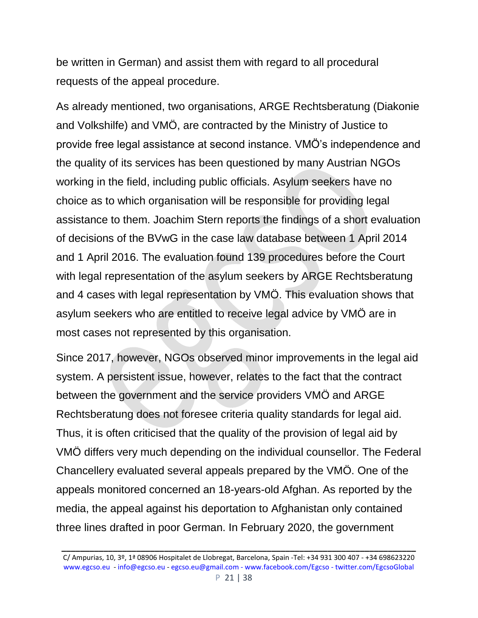be written in German) and assist them with regard to all procedural requests of the appeal procedure.

As already mentioned, two organisations, ARGE Rechtsberatung (Diakonie and Volkshilfe) and VMÖ, are contracted by the Ministry of Justice to provide free legal assistance at second instance. VMÖ's independence and the quality of its services has been questioned by many Austrian NGOs working in the field, including public officials. Asylum seekers have no choice as to which organisation will be responsible for providing legal assistance to them. Joachim Stern reports the findings of a short evaluation of decisions of the BVwG in the case law database between 1 April 2014 and 1 April 2016. The evaluation found 139 procedures before the Court with legal representation of the asylum seekers by ARGE Rechtsberatung and 4 cases with legal representation by VMÖ. This evaluation shows that asylum seekers who are entitled to receive legal advice by VMÖ are in most cases not represented by this organisation.

Since 2017, however, NGOs observed minor improvements in the legal aid system. A persistent issue, however, relates to the fact that the contract between the government and the service providers VMÖ and ARGE Rechtsberatung does not foresee criteria quality standards for legal aid. Thus, it is often criticised that the quality of the provision of legal aid by VMÖ differs very much depending on the individual counsellor. The Federal Chancellery evaluated several appeals prepared by the VMÖ. One of the appeals monitored concerned an 18-years-old Afghan. As reported by the media, the appeal against his deportation to Afghanistan only contained three lines drafted in poor German. In February 2020, the government

C/ Ampurias, 10, 3º, 1ª 08906 Hospitalet de Llobregat, Barcelona, Spain -Tel: +34 931 300 407 - +34 698623220 [www.egcso.eu](http://www.egcso.eu/) - [info@egcso.eu](mailto:info@egcso.eu) - [egcso.eu@gmail.com -](mailto:egcso.eu@gmail.com%20-) [www.facebook.com/Egcso -](http://www.facebook.com/Egcso%20-%20twitter.com/EgcsoGlobal) twitter.com/EgcsoGlobal P 21 | 38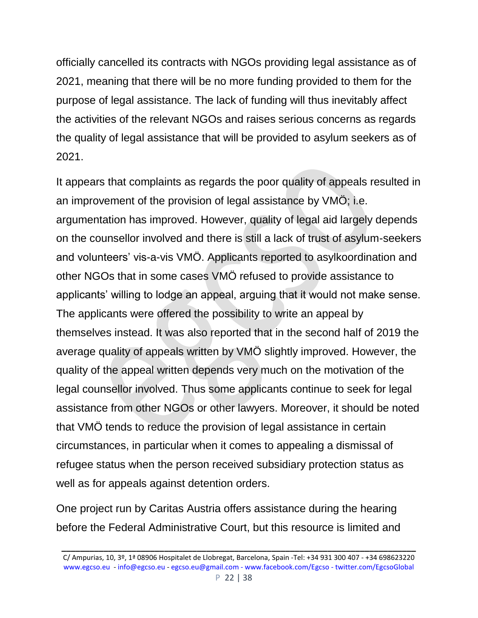officially cancelled its contracts with NGOs providing legal assistance as of 2021, meaning that there will be no more funding provided to them for the purpose of legal assistance. The lack of funding will thus inevitably affect the activities of the relevant NGOs and raises serious concerns as regards the quality of legal assistance that will be provided to asylum seekers as of 2021.

It appears that complaints as regards the poor quality of appeals resulted in an improvement of the provision of legal assistance by VMÖ; i.e. argumentation has improved. However, quality of legal aid largely depends on the counsellor involved and there is still a lack of trust of asylum-seekers and volunteers' vis-a-vis VMÖ. Applicants reported to asylkoordination and other NGOs that in some cases VMÖ refused to provide assistance to applicants' willing to lodge an appeal, arguing that it would not make sense. The applicants were offered the possibility to write an appeal by themselves instead. It was also reported that in the second half of 2019 the average quality of appeals written by VMÖ slightly improved. However, the quality of the appeal written depends very much on the motivation of the legal counsellor involved. Thus some applicants continue to seek for legal assistance from other NGOs or other lawyers. Moreover, it should be noted that VMÖ tends to reduce the provision of legal assistance in certain circumstances, in particular when it comes to appealing a dismissal of refugee status when the person received subsidiary protection status as well as for appeals against detention orders.

One project run by Caritas Austria offers assistance during the hearing before the Federal Administrative Court, but this resource is limited and

C/ Ampurias, 10, 3º, 1ª 08906 Hospitalet de Llobregat, Barcelona, Spain -Tel: +34 931 300 407 - +34 698623220 [www.egcso.eu](http://www.egcso.eu/) - [info@egcso.eu](mailto:info@egcso.eu) - [egcso.eu@gmail.com -](mailto:egcso.eu@gmail.com%20-) [www.facebook.com/Egcso -](http://www.facebook.com/Egcso%20-%20twitter.com/EgcsoGlobal) twitter.com/EgcsoGlobal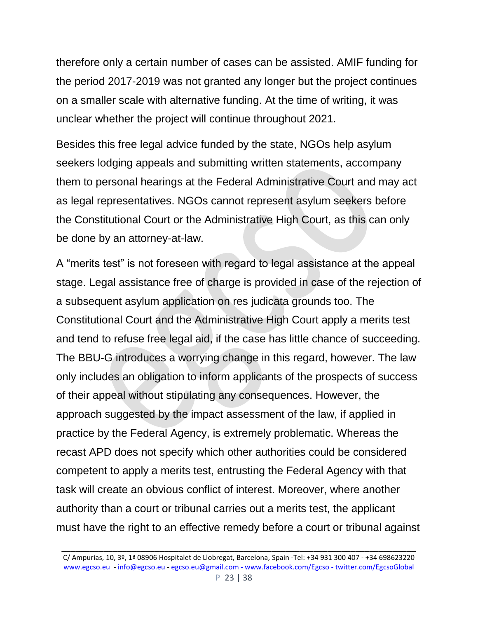therefore only a certain number of cases can be assisted. AMIF funding for the period 2017-2019 was not granted any longer but the project continues on a smaller scale with alternative funding. At the time of writing, it was unclear whether the project will continue throughout 2021.

Besides this free legal advice funded by the state, NGOs help asylum seekers lodging appeals and submitting written statements, accompany them to personal hearings at the Federal Administrative Court and may act as legal representatives. NGOs cannot represent asylum seekers before the Constitutional Court or the Administrative High Court, as this can only be done by an attorney-at-law.

A "merits test" is not foreseen with regard to legal assistance at the appeal stage. Legal assistance free of charge is provided in case of the rejection of a subsequent asylum application on res judicata grounds too. The Constitutional Court and the Administrative High Court apply a merits test and tend to refuse free legal aid, if the case has little chance of succeeding. The BBU-G introduces a worrying change in this regard, however. The law only includes an obligation to inform applicants of the prospects of success of their appeal without stipulating any consequences. However, the approach suggested by the impact assessment of the law, if applied in practice by the Federal Agency, is extremely problematic. Whereas the recast APD does not specify which other authorities could be considered competent to apply a merits test, entrusting the Federal Agency with that task will create an obvious conflict of interest. Moreover, where another authority than a court or tribunal carries out a merits test, the applicant must have the right to an effective remedy before a court or tribunal against

C/ Ampurias, 10, 3º, 1ª 08906 Hospitalet de Llobregat, Barcelona, Spain -Tel: +34 931 300 407 - +34 698623220 [www.egcso.eu](http://www.egcso.eu/) - [info@egcso.eu](mailto:info@egcso.eu) - [egcso.eu@gmail.com -](mailto:egcso.eu@gmail.com%20-) [www.facebook.com/Egcso -](http://www.facebook.com/Egcso%20-%20twitter.com/EgcsoGlobal) twitter.com/EgcsoGlobal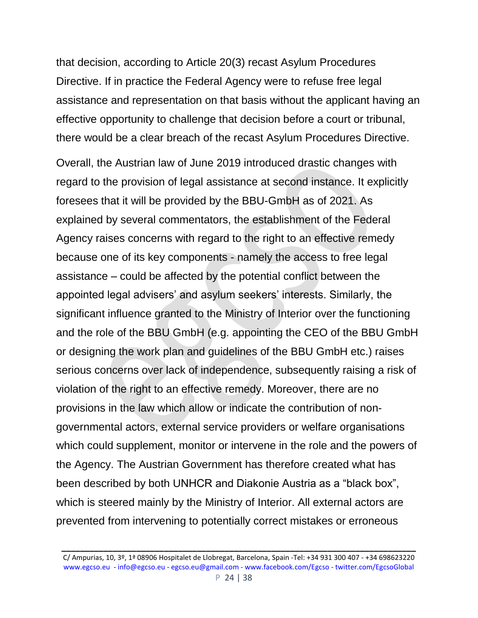that decision, according to Article 20(3) recast Asylum Procedures Directive. If in practice the Federal Agency were to refuse free legal assistance and representation on that basis without the applicant having an effective opportunity to challenge that decision before a court or tribunal, there would be a clear breach of the recast Asylum Procedures Directive.

Overall, the Austrian law of June 2019 introduced drastic changes with regard to the provision of legal assistance at second instance. It explicitly foresees that it will be provided by the BBU-GmbH as of 2021. As explained by several commentators, the establishment of the Federal Agency raises concerns with regard to the right to an effective remedy because one of its key components - namely the access to free legal assistance – could be affected by the potential conflict between the appointed legal advisers' and asylum seekers' interests. Similarly, the significant influence granted to the Ministry of Interior over the functioning and the role of the BBU GmbH (e.g. appointing the CEO of the BBU GmbH or designing the work plan and guidelines of the BBU GmbH etc.) raises serious concerns over lack of independence, subsequently raising a risk of violation of the right to an effective remedy. Moreover, there are no provisions in the law which allow or indicate the contribution of nongovernmental actors, external service providers or welfare organisations which could supplement, monitor or intervene in the role and the powers of the Agency. The Austrian Government has therefore created what has been described by both UNHCR and Diakonie Austria as a "black box", which is steered mainly by the Ministry of Interior. All external actors are prevented from intervening to potentially correct mistakes or erroneous

C/ Ampurias, 10, 3º, 1ª 08906 Hospitalet de Llobregat, Barcelona, Spain -Tel: +34 931 300 407 - +34 698623220 [www.egcso.eu](http://www.egcso.eu/) - [info@egcso.eu](mailto:info@egcso.eu) - [egcso.eu@gmail.com -](mailto:egcso.eu@gmail.com%20-) [www.facebook.com/Egcso -](http://www.facebook.com/Egcso%20-%20twitter.com/EgcsoGlobal) twitter.com/EgcsoGlobal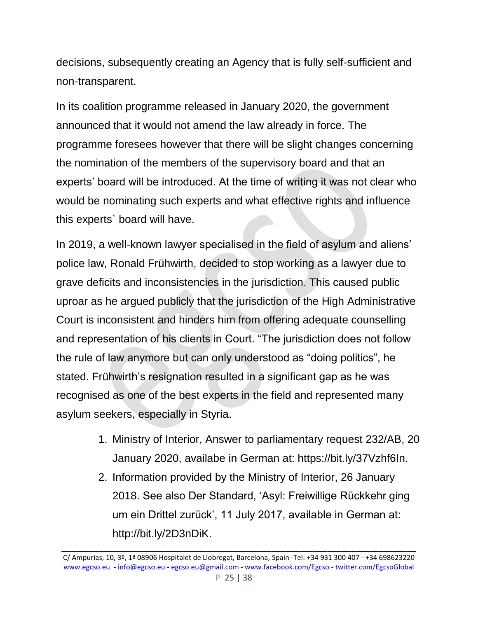decisions, subsequently creating an Agency that is fully self-sufficient and non-transparent.

In its coalition programme released in January 2020, the government announced that it would not amend the law already in force. The programme foresees however that there will be slight changes concerning the nomination of the members of the supervisory board and that an experts' board will be introduced. At the time of writing it was not clear who would be nominating such experts and what effective rights and influence this experts` board will have.

In 2019, a well-known lawyer specialised in the field of asylum and aliens' police law, Ronald Frühwirth, decided to stop working as a lawyer due to grave deficits and inconsistencies in the jurisdiction. This caused public uproar as he argued publicly that the jurisdiction of the High Administrative Court is inconsistent and hinders him from offering adequate counselling and representation of his clients in Court. "The jurisdiction does not follow the rule of law anymore but can only understood as "doing politics", he stated. Frühwirth's resignation resulted in a significant gap as he was recognised as one of the best experts in the field and represented many asylum seekers, especially in Styria.

- 1. Ministry of Interior, Answer to parliamentary request 232/AB, 20 January 2020, availabe in German at: https://bit.ly/37Vzhf6In.
- 2. Information provided by the Ministry of Interior, 26 January 2018. See also Der Standard, 'Asyl: Freiwillige Rückkehr ging um ein Drittel zurück', 11 July 2017, available in German at: http://bit.ly/2D3nDiK.

C/ Ampurias, 10, 3º, 1ª 08906 Hospitalet de Llobregat, Barcelona, Spain -Tel: +34 931 300 407 - +34 698623220 [www.egcso.eu](http://www.egcso.eu/) - [info@egcso.eu](mailto:info@egcso.eu) - [egcso.eu@gmail.com -](mailto:egcso.eu@gmail.com%20-) [www.facebook.com/Egcso -](http://www.facebook.com/Egcso%20-%20twitter.com/EgcsoGlobal) twitter.com/EgcsoGlobal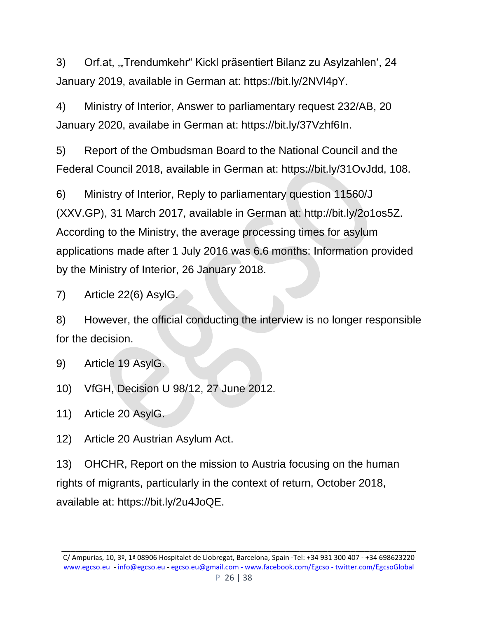3) Orf.at, "Trendumkehr" Kickl präsentiert Bilanz zu Asylzahlen', 24 January 2019, available in German at: https://bit.ly/2NVl4pY.

4) Ministry of Interior, Answer to parliamentary request 232/AB, 20 January 2020, availabe in German at: https://bit.ly/37Vzhf6In.

5) Report of the Ombudsman Board to the National Council and the Federal Council 2018, available in German at: https://bit.ly/31OvJdd, 108.

6) Ministry of Interior, Reply to parliamentary question 11560/J (XXV.GP), 31 March 2017, available in German at: http://bit.ly/2o1os5Z. According to the Ministry, the average processing times for asylum applications made after 1 July 2016 was 6.6 months: Information provided by the Ministry of Interior, 26 January 2018.

7) Article 22(6) AsylG.

8) However, the official conducting the interview is no longer responsible for the decision.

- 9) Article 19 AsylG.
- 10) VfGH, Decision U 98/12, 27 June 2012.
- 11) Article 20 AsylG.
- 12) Article 20 Austrian Asylum Act.

13) OHCHR, Report on the mission to Austria focusing on the human rights of migrants, particularly in the context of return, October 2018, available at: https://bit.ly/2u4JoQE.

C/ Ampurias, 10, 3º, 1ª 08906 Hospitalet de Llobregat, Barcelona, Spain -Tel: +34 931 300 407 - +34 698623220 [www.egcso.eu](http://www.egcso.eu/) - [info@egcso.eu](mailto:info@egcso.eu) - [egcso.eu@gmail.com -](mailto:egcso.eu@gmail.com%20-) [www.facebook.com/Egcso -](http://www.facebook.com/Egcso%20-%20twitter.com/EgcsoGlobal) twitter.com/EgcsoGlobal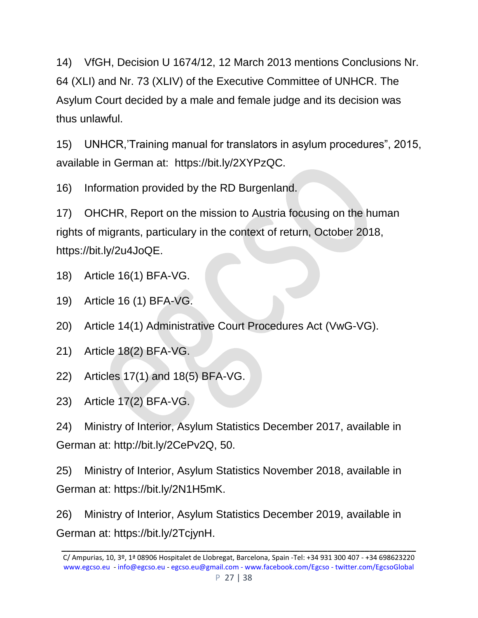14) VfGH, Decision U 1674/12, 12 March 2013 mentions Conclusions Nr. 64 (XLI) and Nr. 73 (XLIV) of the Executive Committee of UNHCR. The Asylum Court decided by a male and female judge and its decision was thus unlawful.

15) UNHCR,'Training manual for translators in asylum procedures", 2015, available in German at: https://bit.ly/2XYPzQC.

16) Information provided by the RD Burgenland.

17) OHCHR, Report on the mission to Austria focusing on the human rights of migrants, particulary in the context of return, October 2018, https://bit.ly/2u4JoQE.

- 18) Article 16(1) BFA-VG.
- 19) Article 16 (1) BFA-VG.
- 20) Article 14(1) Administrative Court Procedures Act (VwG-VG).
- 21) Article 18(2) BFA-VG.
- 22) Articles 17(1) and 18(5) BFA-VG.
- 23) Article 17(2) BFA-VG.

24) Ministry of Interior, Asylum Statistics December 2017, available in German at: http://bit.ly/2CePv2Q, 50.

25) Ministry of Interior, Asylum Statistics November 2018, available in German at: https://bit.ly/2N1H5mK.

26) Ministry of Interior, Asylum Statistics December 2019, available in German at: https://bit.ly/2TcjynH.

C/ Ampurias, 10, 3º, 1ª 08906 Hospitalet de Llobregat, Barcelona, Spain -Tel: +34 931 300 407 - +34 698623220 [www.egcso.eu](http://www.egcso.eu/) - [info@egcso.eu](mailto:info@egcso.eu) - [egcso.eu@gmail.com -](mailto:egcso.eu@gmail.com%20-) [www.facebook.com/Egcso -](http://www.facebook.com/Egcso%20-%20twitter.com/EgcsoGlobal) twitter.com/EgcsoGlobal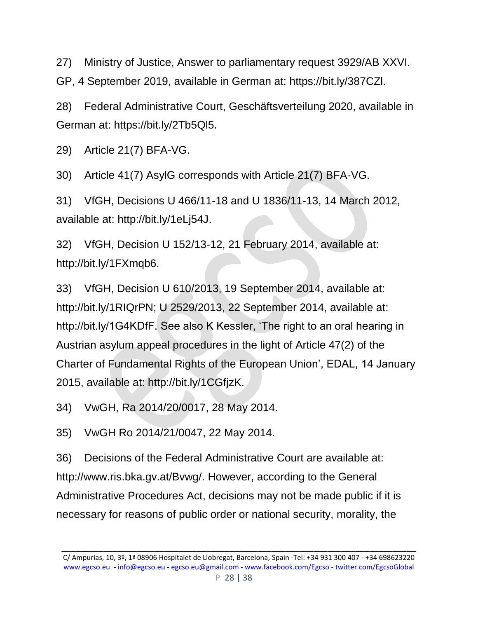27) Ministry of Justice, Answer to parliamentary request 3929/AB XXVI.

GP, 4 September 2019, available in German at: https://bit.ly/387CZl.

28) Federal Administrative Court, Geschäftsverteilung 2020, available in German at: https://bit.ly/2Tb5Ql5.

29) Article 21(7) BFA-VG.

30) Article 41(7) AsylG corresponds with Article 21(7) BFA-VG.

31) VfGH, Decisions U 466/11-18 and U 1836/11-13, 14 March 2012, available at: http://bit.ly/1eLj54J.

32) VfGH, Decision U 152/13-12, 21 February 2014, available at: http://bit.ly/1FXmqb6.

33) VfGH, Decision U 610/2013, 19 September 2014, available at: http://bit.ly/1RIQrPN; U 2529/2013, 22 September 2014, available at: http://bit.ly/1G4KDfF. See also K Kessler, 'The right to an oral hearing in Austrian asylum appeal procedures in the light of Article 47(2) of the Charter of Fundamental Rights of the European Union', EDAL, 14 January 2015, available at: http://bit.ly/1CGfjzK.

34) VwGH, Ra 2014/20/0017, 28 May 2014.

35) VwGH Ro 2014/21/0047, 22 May 2014.

36) Decisions of the Federal Administrative Court are available at: http://www.ris.bka.gv.at/Bvwg/. However, according to the General Administrative Procedures Act, decisions may not be made public if it is necessary for reasons of public order or national security, morality, the

C/ Ampurias, 10, 3º, 1ª 08906 Hospitalet de Llobregat, Barcelona, Spain -Tel: +34 931 300 407 - +34 698623220 [www.egcso.eu](http://www.egcso.eu/) - [info@egcso.eu](mailto:info@egcso.eu) - [egcso.eu@gmail.com -](mailto:egcso.eu@gmail.com%20-) [www.facebook.com/Egcso -](http://www.facebook.com/Egcso%20-%20twitter.com/EgcsoGlobal) twitter.com/EgcsoGlobal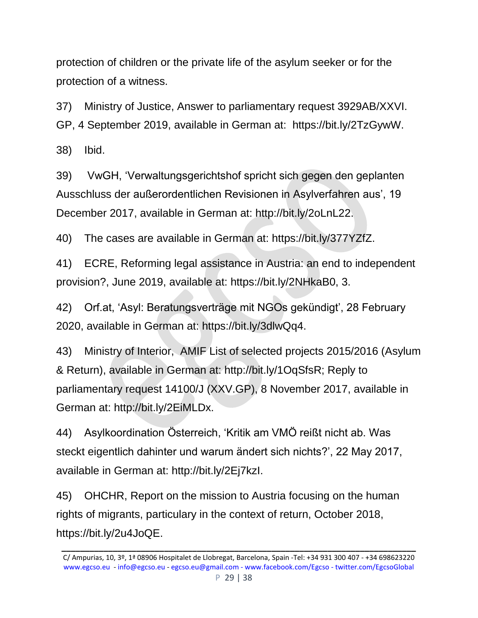protection of children or the private life of the asylum seeker or for the protection of a witness.

37) Ministry of Justice, Answer to parliamentary request 3929AB/XXVI. GP, 4 September 2019, available in German at: https://bit.ly/2TzGywW.

38) Ibid.

39) VwGH, 'Verwaltungsgerichtshof spricht sich gegen den geplanten Ausschluss der außerordentlichen Revisionen in Asylverfahren aus', 19 December 2017, available in German at: http://bit.ly/2oLnL22.

40) The cases are available in German at: https://bit.ly/377YZfZ.

41) ECRE, Reforming legal assistance in Austria: an end to independent provision?, June 2019, available at: https://bit.ly/2NHkaB0, 3.

42) Orf.at, 'Asyl: Beratungsverträge mit NGOs gekündigt', 28 February 2020, available in German at: https://bit.ly/3dlwQq4.

43) Ministry of Interior, AMIF List of selected projects 2015/2016 (Asylum & Return), available in German at: http://bit.ly/1OqSfsR; Reply to parliamentary request 14100/J (XXV.GP), 8 November 2017, available in German at: http://bit.ly/2EiMLDx.

44) Asylkoordination Österreich, 'Kritik am VMÖ reißt nicht ab. Was steckt eigentlich dahinter und warum ändert sich nichts?', 22 May 2017, available in German at: http://bit.ly/2Ej7kzI.

45) OHCHR, Report on the mission to Austria focusing on the human rights of migrants, particulary in the context of return, October 2018, https://bit.ly/2u4JoQE.

C/ Ampurias, 10, 3º, 1ª 08906 Hospitalet de Llobregat, Barcelona, Spain -Tel: +34 931 300 407 - +34 698623220 [www.egcso.eu](http://www.egcso.eu/) - [info@egcso.eu](mailto:info@egcso.eu) - [egcso.eu@gmail.com -](mailto:egcso.eu@gmail.com%20-) [www.facebook.com/Egcso -](http://www.facebook.com/Egcso%20-%20twitter.com/EgcsoGlobal) twitter.com/EgcsoGlobal P 29 | 38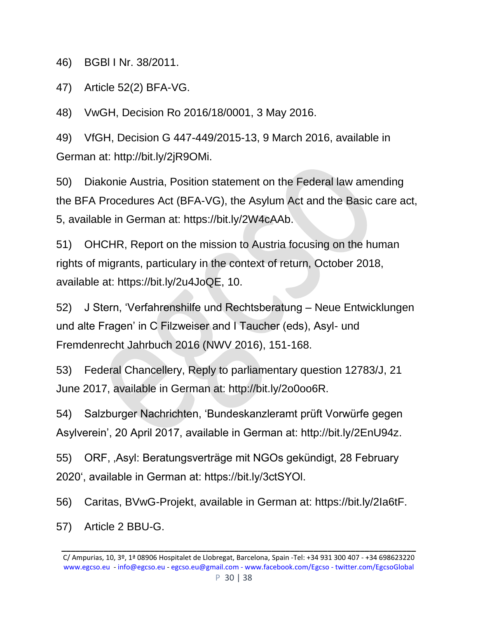46) BGBl I Nr. 38/2011.

47) Article 52(2) BFA-VG.

48) VwGH, Decision Ro 2016/18/0001, 3 May 2016.

49) VfGH, Decision G 447-449/2015-13, 9 March 2016, available in German at: http://bit.ly/2jR9OMi.

50) Diakonie Austria, Position statement on the Federal law amending the BFA Procedures Act (BFA-VG), the Asylum Act and the Basic care act, 5, available in German at: https://bit.ly/2W4cAAb.

51) OHCHR, Report on the mission to Austria focusing on the human rights of migrants, particulary in the context of return, October 2018, available at: https://bit.ly/2u4JoQE, 10.

52) J Stern, 'Verfahrenshilfe und Rechtsberatung – Neue Entwicklungen und alte Fragen' in C Filzweiser and I Taucher (eds), Asyl- und Fremdenrecht Jahrbuch 2016 (NWV 2016), 151-168.

53) Federal Chancellery, Reply to parliamentary question 12783/J, 21 June 2017, available in German at: http://bit.ly/2o0oo6R.

54) Salzburger Nachrichten, 'Bundeskanzleramt prüft Vorwürfe gegen Asylverein', 20 April 2017, available in German at: http://bit.ly/2EnU94z.

55) ORF, , Asyl: Beratungsverträge mit NGOs gekündigt, 28 February 2020', available in German at: https://bit.ly/3ctSYOl.

56) Caritas, BVwG-Projekt, available in German at: https://bit.ly/2Ia6tF.

57) Article 2 BBU-G.

C/ Ampurias, 10, 3º, 1ª 08906 Hospitalet de Llobregat, Barcelona, Spain -Tel: +34 931 300 407 - +34 698623220 [www.egcso.eu](http://www.egcso.eu/) - [info@egcso.eu](mailto:info@egcso.eu) - [egcso.eu@gmail.com -](mailto:egcso.eu@gmail.com%20-) [www.facebook.com/Egcso -](http://www.facebook.com/Egcso%20-%20twitter.com/EgcsoGlobal) twitter.com/EgcsoGlobal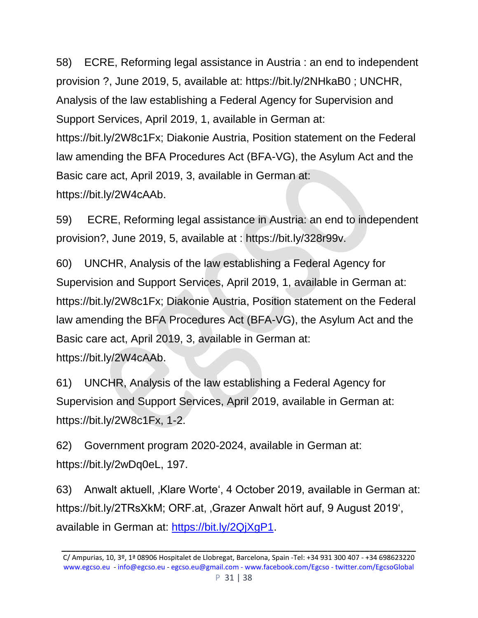58) ECRE, Reforming legal assistance in Austria : an end to independent provision ?, June 2019, 5, available at: https://bit.ly/2NHkaB0 ; UNCHR, Analysis of the law establishing a Federal Agency for Supervision and Support Services, April 2019, 1, available in German at: https://bit.ly/2W8c1Fx; Diakonie Austria, Position statement on the Federal law amending the BFA Procedures Act (BFA-VG), the Asylum Act and the Basic care act, April 2019, 3, available in German at: https://bit.ly/2W4cAAb.

59) ECRE, Reforming legal assistance in Austria: an end to independent provision?, June 2019, 5, available at : https://bit.ly/328r99v.

60) UNCHR, Analysis of the law establishing a Federal Agency for Supervision and Support Services, April 2019, 1, available in German at: https://bit.ly/2W8c1Fx; Diakonie Austria, Position statement on the Federal law amending the BFA Procedures Act (BFA-VG), the Asylum Act and the Basic care act, April 2019, 3, available in German at: https://bit.ly/2W4cAAb.

61) UNCHR, Analysis of the law establishing a Federal Agency for Supervision and Support Services, April 2019, available in German at: https://bit.ly/2W8c1Fx, 1-2.

62) Government program 2020-2024, available in German at: https://bit.ly/2wDq0eL, 197.

63) Anwalt aktuell, 'Klare Worte', 4 October 2019, available in German at: https://bit.ly/2TRsXkM; ORF.at, ,Grazer Anwalt hört auf, 9 August 2019', available in German at: [https://bit.ly/2QjXgP1.](https://bit.ly/2QjXgP1)

C/ Ampurias, 10, 3º, 1ª 08906 Hospitalet de Llobregat, Barcelona, Spain -Tel: +34 931 300 407 - +34 698623220 [www.egcso.eu](http://www.egcso.eu/) - [info@egcso.eu](mailto:info@egcso.eu) - [egcso.eu@gmail.com -](mailto:egcso.eu@gmail.com%20-) [www.facebook.com/Egcso -](http://www.facebook.com/Egcso%20-%20twitter.com/EgcsoGlobal) twitter.com/EgcsoGlobal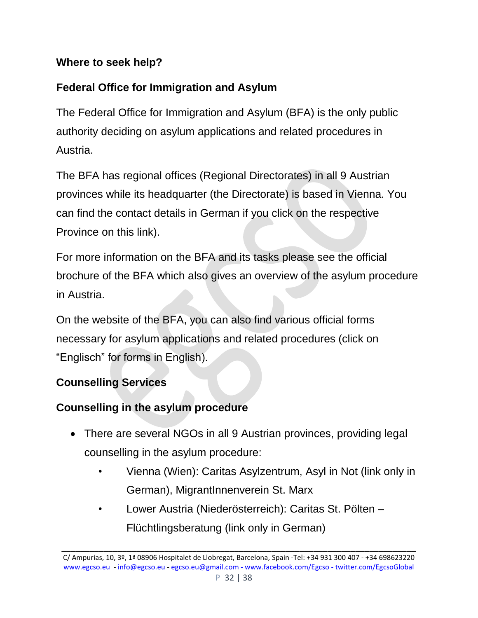### **Where to seek help?**

# **Federal Office for Immigration and Asylum**

The Federal Office for Immigration and Asylum (BFA) is the only public authority deciding on asylum applications and related procedures in Austria.

The BFA has regional offices (Regional Directorates) in all 9 Austrian provinces while its headquarter (the Directorate) is based in Vienna. You can find the contact details in German if you click on the respective Province on this link).

For more information on the BFA and its tasks please see the official brochure of the BFA which also gives an overview of the asylum procedure in Austria.

On the website of the BFA, you can also find various official forms necessary for asylum applications and related procedures (click on "Englisch" for forms in English).

## **Counselling Services**

### **Counselling in the asylum procedure**

- There are several NGOs in all 9 Austrian provinces, providing legal counselling in the asylum procedure:
	- Vienna (Wien): Caritas Asylzentrum, Asyl in Not (link only in German), MigrantInnenverein St. Marx
	- Lower Austria (Niederösterreich): Caritas St. Pölten Flüchtlingsberatung (link only in German)

C/ Ampurias, 10, 3º, 1ª 08906 Hospitalet de Llobregat, Barcelona, Spain -Tel: +34 931 300 407 - +34 698623220 [www.egcso.eu](http://www.egcso.eu/) - [info@egcso.eu](mailto:info@egcso.eu) - [egcso.eu@gmail.com -](mailto:egcso.eu@gmail.com%20-) [www.facebook.com/Egcso -](http://www.facebook.com/Egcso%20-%20twitter.com/EgcsoGlobal) twitter.com/EgcsoGlobal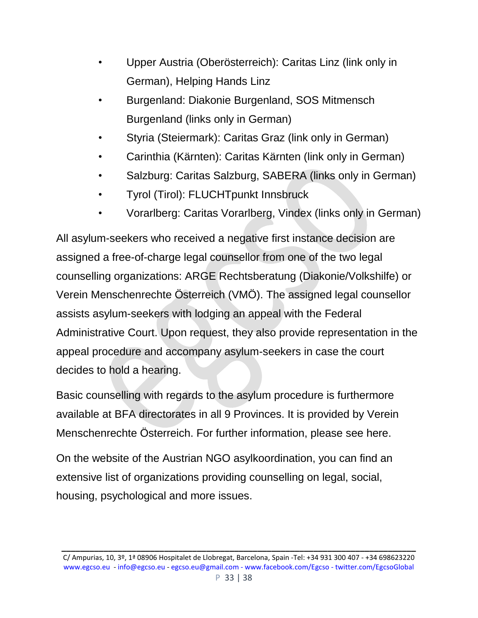- Upper Austria (Oberösterreich): Caritas Linz (link only in German), Helping Hands Linz
- Burgenland: Diakonie Burgenland, SOS Mitmensch Burgenland (links only in German)
- Styria (Steiermark): Caritas Graz (link only in German)
- Carinthia (Kärnten): Caritas Kärnten (link only in German)
- Salzburg: Caritas Salzburg, SABERA (links only in German)
- Tyrol (Tirol): FLUCHTpunkt Innsbruck
- Vorarlberg: Caritas Vorarlberg, Vindex (links only in German)

All asylum-seekers who received a negative first instance decision are assigned a free-of-charge legal counsellor from one of the two legal counselling organizations: ARGE Rechtsberatung (Diakonie/Volkshilfe) or Verein Menschenrechte Österreich (VMÖ). The assigned legal counsellor assists asylum-seekers with lodging an appeal with the Federal Administrative Court. Upon request, they also provide representation in the appeal procedure and accompany asylum-seekers in case the court decides to hold a hearing.

Basic counselling with regards to the asylum procedure is furthermore available at BFA directorates in all 9 Provinces. It is provided by Verein Menschenrechte Österreich. For further information, please see here.

On the website of the Austrian NGO asylkoordination, you can find an extensive list of organizations providing counselling on legal, social, housing, psychological and more issues.

C/ Ampurias, 10, 3º, 1ª 08906 Hospitalet de Llobregat, Barcelona, Spain -Tel: +34 931 300 407 - +34 698623220 [www.egcso.eu](http://www.egcso.eu/) - [info@egcso.eu](mailto:info@egcso.eu) - [egcso.eu@gmail.com -](mailto:egcso.eu@gmail.com%20-) [www.facebook.com/Egcso -](http://www.facebook.com/Egcso%20-%20twitter.com/EgcsoGlobal) twitter.com/EgcsoGlobal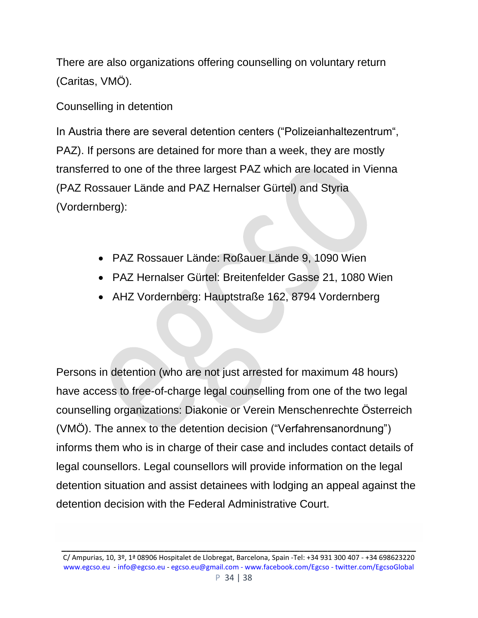There are also organizations offering counselling on voluntary return (Caritas, VMÖ).

Counselling in detention

In Austria there are several detention centers ("Polizeianhaltezentrum", PAZ). If persons are detained for more than a week, they are mostly transferred to one of the three largest PAZ which are located in Vienna (PAZ Rossauer Lände and PAZ Hernalser Gürtel) and Styria (Vordernberg):

- PAZ Rossauer Lände: Roßauer Lände 9, 1090 Wien
- PAZ Hernalser Gürtel: Breitenfelder Gasse 21, 1080 Wien
- AHZ Vordernberg: Hauptstraße 162, 8794 Vordernberg

Persons in detention (who are not just arrested for maximum 48 hours) have access to free-of-charge legal counselling from one of the two legal counselling organizations: Diakonie or Verein Menschenrechte Österreich (VMÖ). The annex to the detention decision ("Verfahrensanordnung") informs them who is in charge of their case and includes contact details of legal counsellors. Legal counsellors will provide information on the legal detention situation and assist detainees with lodging an appeal against the detention decision with the Federal Administrative Court.

C/ Ampurias, 10, 3º, 1ª 08906 Hospitalet de Llobregat, Barcelona, Spain -Tel: +34 931 300 407 - +34 698623220 [www.egcso.eu](http://www.egcso.eu/) - [info@egcso.eu](mailto:info@egcso.eu) - [egcso.eu@gmail.com -](mailto:egcso.eu@gmail.com%20-) [www.facebook.com/Egcso -](http://www.facebook.com/Egcso%20-%20twitter.com/EgcsoGlobal) twitter.com/EgcsoGlobal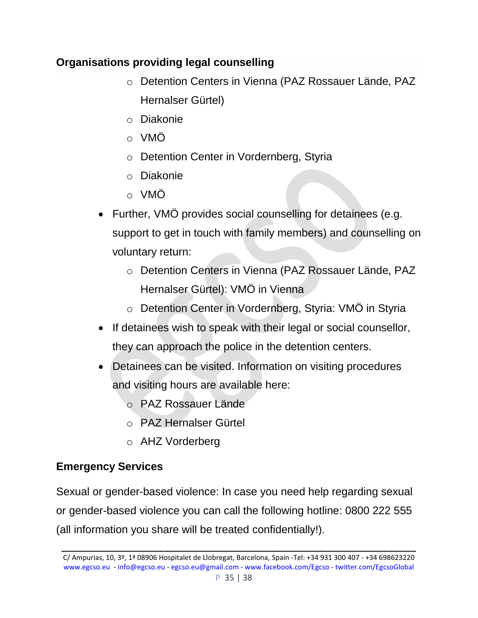### **Organisations providing legal counselling**

- o Detention Centers in Vienna (PAZ Rossauer Lände, PAZ Hernalser Gürtel)
- o Diakonie
- o VMÖ
- o Detention Center in Vordernberg, Styria
- o Diakonie
- o VMÖ
- Further, VMÖ provides social counselling for detainees (e.g. support to get in touch with family members) and counselling on voluntary return:
	- o Detention Centers in Vienna (PAZ Rossauer Lände, PAZ Hernalser Gürtel): VMO in Vienna
	- o Detention Center in Vordernberg, Styria: VMÖ in Styria
- If detainees wish to speak with their legal or social counsellor, they can approach the police in the detention centers.
- Detainees can be visited. Information on visiting procedures and visiting hours are available here:
	- o PAZ Rossauer Lände
	- o PAZ Hernalser Gürtel
	- o AHZ Vorderberg

# **Emergency Services**

Sexual or gender-based violence: In case you need help regarding sexual or gender-based violence you can call the following hotline: 0800 222 555 (all information you share will be treated confidentially!).

C/ Ampurias, 10, 3º, 1ª 08906 Hospitalet de Llobregat, Barcelona, Spain -Tel: +34 931 300 407 - +34 698623220 [www.egcso.eu](http://www.egcso.eu/) - [info@egcso.eu](mailto:info@egcso.eu) - [egcso.eu@gmail.com -](mailto:egcso.eu@gmail.com%20-) [www.facebook.com/Egcso -](http://www.facebook.com/Egcso%20-%20twitter.com/EgcsoGlobal) twitter.com/EgcsoGlobal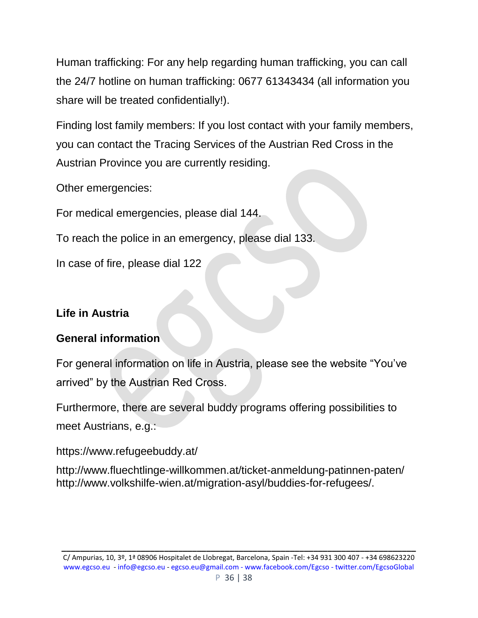Human trafficking: For any help regarding human trafficking, you can call the 24/7 hotline on human trafficking: 0677 61343434 (all information you share will be treated confidentially!).

Finding lost family members: If you lost contact with your family members, you can contact the Tracing Services of the Austrian Red Cross in the Austrian Province you are currently residing.

Other emergencies:

For medical emergencies, please dial 144.

To reach the police in an emergency, please dial 133.

In case of fire, please dial 122

### **Life in Austria**

### **General information**

For general information on life in Austria, please see the website "You've arrived" by the Austrian Red Cross.

Furthermore, there are several buddy programs offering possibilities to meet Austrians, e.g.:

https://www.refugeebuddy.at/

http://www.fluechtlinge-willkommen.at/ticket-anmeldung-patinnen-paten/ http://www.volkshilfe-wien.at/migration-asyl/buddies-for-refugees/.

C/ Ampurias, 10, 3º, 1ª 08906 Hospitalet de Llobregat, Barcelona, Spain -Tel: +34 931 300 407 - +34 698623220 [www.egcso.eu](http://www.egcso.eu/) - [info@egcso.eu](mailto:info@egcso.eu) - [egcso.eu@gmail.com -](mailto:egcso.eu@gmail.com%20-) [www.facebook.com/Egcso -](http://www.facebook.com/Egcso%20-%20twitter.com/EgcsoGlobal) twitter.com/EgcsoGlobal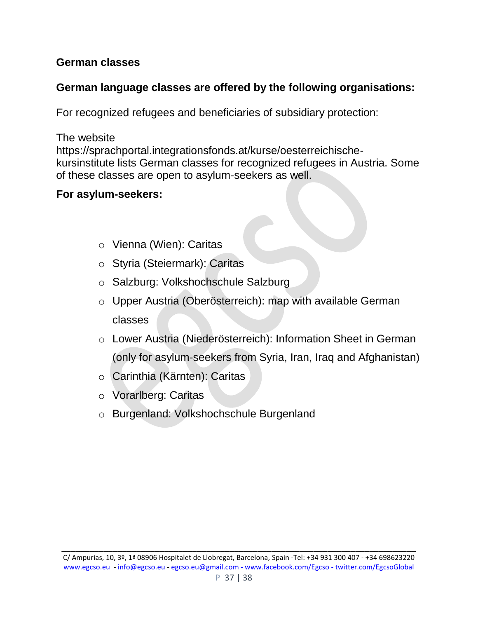### **German classes**

### **German language classes are offered by the following organisations:**

For recognized refugees and beneficiaries of subsidiary protection:

The website

https://sprachportal.integrationsfonds.at/kurse/oesterreichischekursinstitute lists German classes for recognized refugees in Austria. Some of these classes are open to asylum-seekers as well.

### **For asylum-seekers:**

- o Vienna (Wien): Caritas
- o Styria (Steiermark): Caritas
- o Salzburg: Volkshochschule Salzburg
- o Upper Austria (Oberösterreich): map with available German classes
- o Lower Austria (Niederösterreich): Information Sheet in German (only for asylum-seekers from Syria, Iran, Iraq and Afghanistan)
- o Carinthia (Kärnten): Caritas
- o Vorarlberg: Caritas
- o Burgenland: Volkshochschule Burgenland